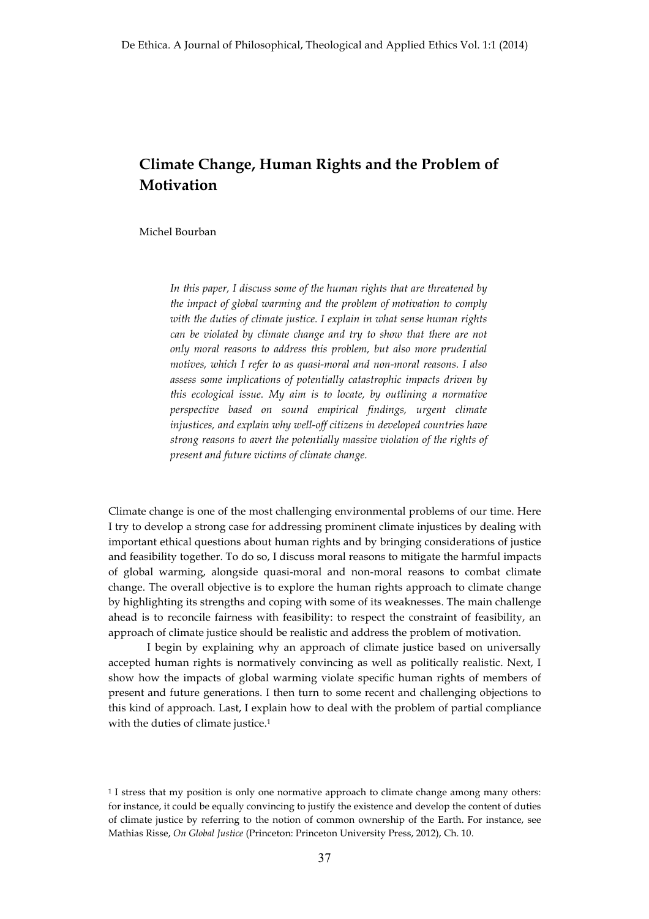# **Climate Change, Human Rights and the Problem of Motivation**

### Michel Bourban

*In this paper, I discuss some of the human rights that are threatened by the impact of global warming and the problem of motivation to comply with the duties of climate justice. I explain in what sense human rights can be violated by climate change and try to show that there are not only moral reasons to address this problem, but also more prudential motives, which I refer to as quasi-moral and non-moral reasons. I also assess some implications of potentially catastrophic impacts driven by this ecological issue. My aim is to locate, by outlining a normative perspective based on sound empirical findings, urgent climate injustices, and explain why well-off citizens in developed countries have strong reasons to avert the potentially massive violation of the rights of present and future victims of climate change.* 

Climate change is one of the most challenging environmental problems of our time. Here I try to develop a strong case for addressing prominent climate injustices by dealing with important ethical questions about human rights and by bringing considerations of justice and feasibility together. To do so, I discuss moral reasons to mitigate the harmful impacts of global warming, alongside quasi-moral and non-moral reasons to combat climate change. The overall objective is to explore the human rights approach to climate change by highlighting its strengths and coping with some of its weaknesses. The main challenge ahead is to reconcile fairness with feasibility: to respect the constraint of feasibility, an approach of climate justice should be realistic and address the problem of motivation.

I begin by explaining why an approach of climate justice based on universally accepted human rights is normatively convincing as well as politically realistic. Next, I show how the impacts of global warming violate specific human rights of members of present and future generations. I then turn to some recent and challenging objections to this kind of approach. Last, I explain how to deal with the problem of partial compliance with the duties of climate justice.<sup>1</sup>

<sup>1</sup> I stress that my position is only one normative approach to climate change among many others: for instance, it could be equally convincing to justify the existence and develop the content of duties of climate justice by referring to the notion of common ownership of the Earth. For instance, see Mathias Risse, *On Global Justice* (Princeton: Princeton University Press, 2012), Ch. 10.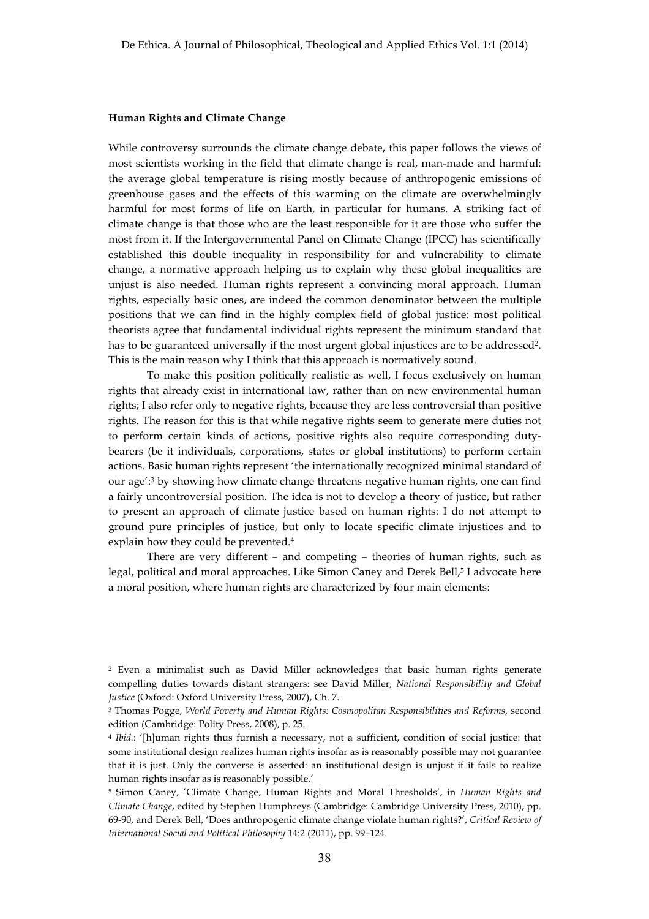#### **Human Rights and Climate Change**

While controversy surrounds the climate change debate, this paper follows the views of most scientists working in the field that climate change is real, man-made and harmful: the average global temperature is rising mostly because of anthropogenic emissions of greenhouse gases and the effects of this warming on the climate are overwhelmingly harmful for most forms of life on Earth, in particular for humans. A striking fact of climate change is that those who are the least responsible for it are those who suffer the most from it. If the Intergovernmental Panel on Climate Change (IPCC) has scientifically established this double inequality in responsibility for and vulnerability to climate change, a normative approach helping us to explain why these global inequalities are unjust is also needed. Human rights represent a convincing moral approach. Human rights, especially basic ones, are indeed the common denominator between the multiple positions that we can find in the highly complex field of global justice: most political theorists agree that fundamental individual rights represent the minimum standard that has to be guaranteed universally if the most urgent global injustices are to be addressed2. This is the main reason why I think that this approach is normatively sound.

To make this position politically realistic as well, I focus exclusively on human rights that already exist in international law, rather than on new environmental human rights; I also refer only to negative rights, because they are less controversial than positive rights. The reason for this is that while negative rights seem to generate mere duties not to perform certain kinds of actions, positive rights also require corresponding dutybearers (be it individuals, corporations, states or global institutions) to perform certain actions. Basic human rights represent 'the internationally recognized minimal standard of our age':3 by showing how climate change threatens negative human rights, one can find a fairly uncontroversial position. The idea is not to develop a theory of justice, but rather to present an approach of climate justice based on human rights: I do not attempt to ground pure principles of justice, but only to locate specific climate injustices and to explain how they could be prevented.4

There are very different – and competing – theories of human rights, such as legal, political and moral approaches. Like Simon Caney and Derek Bell,<sup>5</sup> I advocate here a moral position, where human rights are characterized by four main elements:

<sup>2</sup> Even a minimalist such as David Miller acknowledges that basic human rights generate compelling duties towards distant strangers: see David Miller, *National Responsibility and Global Justice* (Oxford: Oxford University Press, 2007), Ch. 7.

<sup>3</sup> Thomas Pogge, *World Poverty and Human Rights: Cosmopolitan Responsibilities and Reforms*, second edition (Cambridge: Polity Press, 2008), p. 25.

<sup>4</sup> *Ibid.*: '[h]uman rights thus furnish a necessary, not a sufficient, condition of social justice: that some institutional design realizes human rights insofar as is reasonably possible may not guarantee that it is just. Only the converse is asserted: an institutional design is unjust if it fails to realize human rights insofar as is reasonably possible.'

<sup>5</sup> Simon Caney, 'Climate Change, Human Rights and Moral Thresholds', in *Human Rights and Climate Change*, edited by Stephen Humphreys (Cambridge: Cambridge University Press, 2010), pp. 69-90, and Derek Bell, 'Does anthropogenic climate change violate human rights?', *Critical Review of International Social and Political Philosophy* 14:2 (2011), pp. 99–124.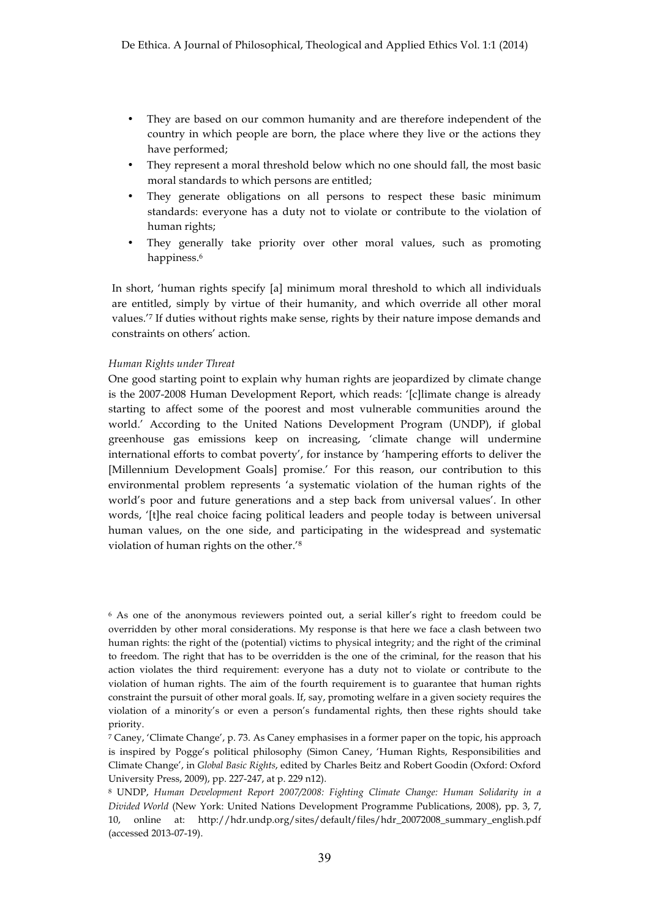- They are based on our common humanity and are therefore independent of the country in which people are born, the place where they live or the actions they have performed;
- They represent a moral threshold below which no one should fall, the most basic moral standards to which persons are entitled;
- They generate obligations on all persons to respect these basic minimum standards: everyone has a duty not to violate or contribute to the violation of human rights;
- They generally take priority over other moral values, such as promoting happiness.<sup>6</sup>

In short, 'human rights specify [a] minimum moral threshold to which all individuals are entitled, simply by virtue of their humanity, and which override all other moral values.'7 If duties without rights make sense, rights by their nature impose demands and constraints on others' action.

## *Human Rights under Threat*

One good starting point to explain why human rights are jeopardized by climate change is the 2007-2008 Human Development Report, which reads: '[c]limate change is already starting to affect some of the poorest and most vulnerable communities around the world.' According to the United Nations Development Program (UNDP), if global greenhouse gas emissions keep on increasing, 'climate change will undermine international efforts to combat poverty', for instance by 'hampering efforts to deliver the [Millennium Development Goals] promise.' For this reason, our contribution to this environmental problem represents 'a systematic violation of the human rights of the world's poor and future generations and a step back from universal values'. In other words, '[t]he real choice facing political leaders and people today is between universal human values, on the one side, and participating in the widespread and systematic violation of human rights on the other.'8

<sup>6</sup> As one of the anonymous reviewers pointed out, a serial killer's right to freedom could be overridden by other moral considerations. My response is that here we face a clash between two human rights: the right of the (potential) victims to physical integrity; and the right of the criminal to freedom. The right that has to be overridden is the one of the criminal, for the reason that his action violates the third requirement: everyone has a duty not to violate or contribute to the violation of human rights. The aim of the fourth requirement is to guarantee that human rights constraint the pursuit of other moral goals. If, say, promoting welfare in a given society requires the violation of a minority's or even a person's fundamental rights, then these rights should take priority.

<sup>7</sup> Caney, 'Climate Change', p. 73. As Caney emphasises in a former paper on the topic, his approach is inspired by Pogge's political philosophy (Simon Caney, 'Human Rights, Responsibilities and Climate Change', in *Global Basic Rights*, edited by Charles Beitz and Robert Goodin (Oxford: Oxford University Press, 2009), pp. 227-247, at p. 229 n12).

<sup>8</sup> UNDP, *Human Development Report 2007/2008: Fighting Climate Change: Human Solidarity in a Divided World* (New York: United Nations Development Programme Publications, 2008), pp. 3, 7, 10, online at: http://hdr.undp.org/sites/default/files/hdr\_20072008\_summary\_english.pdf (accessed 2013-07-19).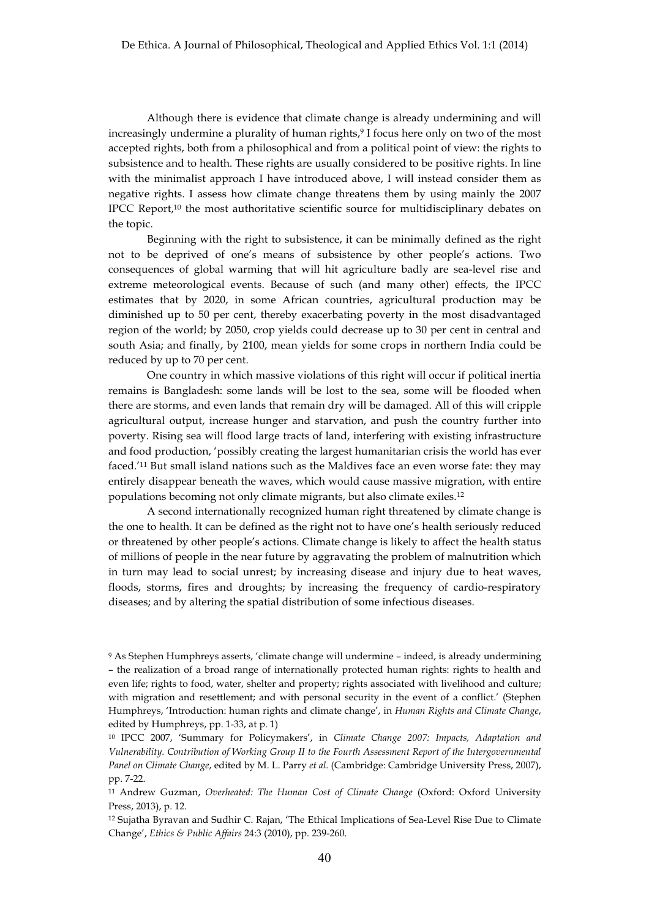Although there is evidence that climate change is already undermining and will increasingly undermine a plurality of human rights,<sup>9</sup> I focus here only on two of the most accepted rights, both from a philosophical and from a political point of view: the rights to subsistence and to health. These rights are usually considered to be positive rights. In line with the minimalist approach I have introduced above, I will instead consider them as negative rights. I assess how climate change threatens them by using mainly the 2007 IPCC Report,10 the most authoritative scientific source for multidisciplinary debates on the topic.

Beginning with the right to subsistence, it can be minimally defined as the right not to be deprived of one's means of subsistence by other people's actions. Two consequences of global warming that will hit agriculture badly are sea-level rise and extreme meteorological events. Because of such (and many other) effects, the IPCC estimates that by 2020, in some African countries, agricultural production may be diminished up to 50 per cent, thereby exacerbating poverty in the most disadvantaged region of the world; by 2050, crop yields could decrease up to 30 per cent in central and south Asia; and finally, by 2100, mean yields for some crops in northern India could be reduced by up to 70 per cent.

One country in which massive violations of this right will occur if political inertia remains is Bangladesh: some lands will be lost to the sea, some will be flooded when there are storms, and even lands that remain dry will be damaged. All of this will cripple agricultural output, increase hunger and starvation, and push the country further into poverty. Rising sea will flood large tracts of land, interfering with existing infrastructure and food production, 'possibly creating the largest humanitarian crisis the world has ever faced.'11 But small island nations such as the Maldives face an even worse fate: they may entirely disappear beneath the waves, which would cause massive migration, with entire populations becoming not only climate migrants, but also climate exiles.12

A second internationally recognized human right threatened by climate change is the one to health. It can be defined as the right not to have one's health seriously reduced or threatened by other people's actions. Climate change is likely to affect the health status of millions of people in the near future by aggravating the problem of malnutrition which in turn may lead to social unrest; by increasing disease and injury due to heat waves, floods, storms, fires and droughts; by increasing the frequency of cardio-respiratory diseases; and by altering the spatial distribution of some infectious diseases.

<sup>9</sup> As Stephen Humphreys asserts, 'climate change will undermine – indeed, is already undermining – the realization of a broad range of internationally protected human rights: rights to health and even life; rights to food, water, shelter and property; rights associated with livelihood and culture; with migration and resettlement; and with personal security in the event of a conflict.' (Stephen Humphreys, 'Introduction: human rights and climate change', in *Human Rights and Climate Change*, edited by Humphreys, pp. 1-33, at p. 1)

<sup>10</sup> IPCC 2007, 'Summary for Policymakers', in *Climate Change 2007: Impacts, Adaptation and Vulnerability. Contribution of Working Group II to the Fourth Assessment Report of the Intergovernmental Panel on Climate Change*, edited by M. L. Parry *et al.* (Cambridge: Cambridge University Press, 2007), pp. 7-22.

<sup>11</sup> Andrew Guzman, *Overheated: The Human Cost of Climate Change* (Oxford: Oxford University Press, 2013), p. 12.

<sup>12</sup> Sujatha Byravan and Sudhir C. Rajan, 'The Ethical Implications of Sea-Level Rise Due to Climate Change', *Ethics & Public Affairs* 24:3 (2010), pp. 239-260.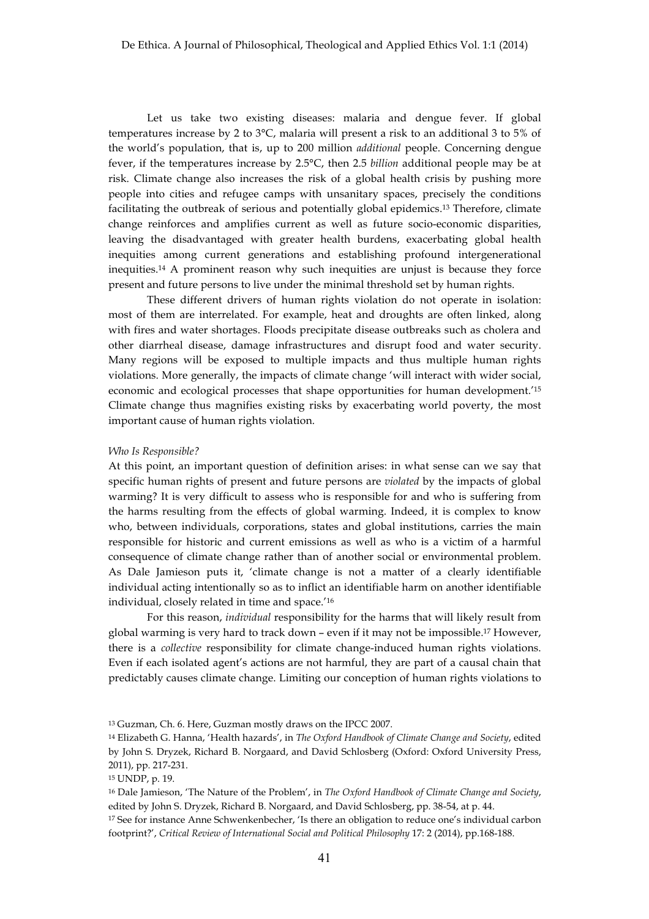Let us take two existing diseases: malaria and dengue fever. If global temperatures increase by 2 to 3°C, malaria will present a risk to an additional 3 to 5% of the world's population, that is, up to 200 million *additional* people. Concerning dengue fever, if the temperatures increase by 2.5°C, then 2.5 *billion* additional people may be at risk. Climate change also increases the risk of a global health crisis by pushing more people into cities and refugee camps with unsanitary spaces, precisely the conditions facilitating the outbreak of serious and potentially global epidemics.13 Therefore, climate change reinforces and amplifies current as well as future socio-economic disparities, leaving the disadvantaged with greater health burdens, exacerbating global health inequities among current generations and establishing profound intergenerational inequities.14 A prominent reason why such inequities are unjust is because they force present and future persons to live under the minimal threshold set by human rights.

These different drivers of human rights violation do not operate in isolation: most of them are interrelated. For example, heat and droughts are often linked, along with fires and water shortages. Floods precipitate disease outbreaks such as cholera and other diarrheal disease, damage infrastructures and disrupt food and water security. Many regions will be exposed to multiple impacts and thus multiple human rights violations. More generally, the impacts of climate change 'will interact with wider social, economic and ecological processes that shape opportunities for human development.'15 Climate change thus magnifies existing risks by exacerbating world poverty, the most important cause of human rights violation.

#### *Who Is Responsible?*

At this point, an important question of definition arises: in what sense can we say that specific human rights of present and future persons are *violated* by the impacts of global warming? It is very difficult to assess who is responsible for and who is suffering from the harms resulting from the effects of global warming. Indeed, it is complex to know who, between individuals, corporations, states and global institutions, carries the main responsible for historic and current emissions as well as who is a victim of a harmful consequence of climate change rather than of another social or environmental problem. As Dale Jamieson puts it, 'climate change is not a matter of a clearly identifiable individual acting intentionally so as to inflict an identifiable harm on another identifiable individual, closely related in time and space.'16

For this reason, *individual* responsibility for the harms that will likely result from global warming is very hard to track down – even if it may not be impossible.17 However, there is a *collective* responsibility for climate change-induced human rights violations. Even if each isolated agent's actions are not harmful, they are part of a causal chain that predictably causes climate change. Limiting our conception of human rights violations to

<sup>13</sup> Guzman, Ch. 6. Here, Guzman mostly draws on the IPCC 2007.

<sup>14</sup> Elizabeth G. Hanna, 'Health hazards', in *The Oxford Handbook of Climate Change and Society*, edited by John S. Dryzek, Richard B. Norgaard, and David Schlosberg (Oxford: Oxford University Press, 2011), pp. 217-231.

<sup>15</sup> UNDP, p. 19.

<sup>16</sup> Dale Jamieson, 'The Nature of the Problem', in *The Oxford Handbook of Climate Change and Society*, edited by John S. Dryzek, Richard B. Norgaard, and David Schlosberg, pp. 38-54, at p. 44.

<sup>17</sup> See for instance Anne Schwenkenbecher, 'Is there an obligation to reduce one's individual carbon footprint?', *Critical Review of International Social and Political Philosophy* 17: 2 (2014), pp.168-188.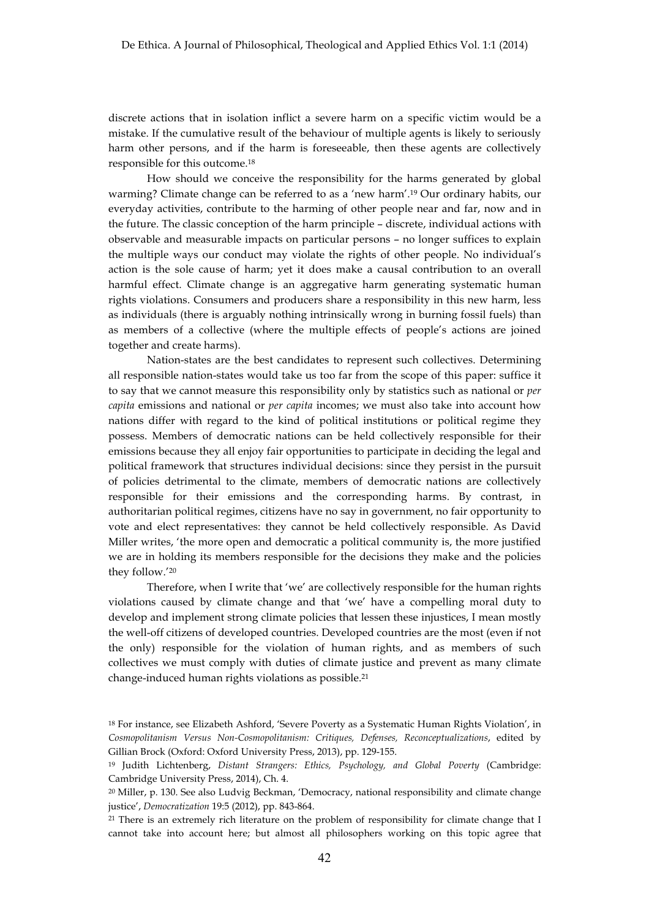discrete actions that in isolation inflict a severe harm on a specific victim would be a mistake. If the cumulative result of the behaviour of multiple agents is likely to seriously harm other persons, and if the harm is foreseeable, then these agents are collectively responsible for this outcome.18

How should we conceive the responsibility for the harms generated by global warming? Climate change can be referred to as a 'new harm'.19 Our ordinary habits, our everyday activities, contribute to the harming of other people near and far, now and in the future. The classic conception of the harm principle – discrete, individual actions with observable and measurable impacts on particular persons – no longer suffices to explain the multiple ways our conduct may violate the rights of other people. No individual's action is the sole cause of harm; yet it does make a causal contribution to an overall harmful effect. Climate change is an aggregative harm generating systematic human rights violations. Consumers and producers share a responsibility in this new harm, less as individuals (there is arguably nothing intrinsically wrong in burning fossil fuels) than as members of a collective (where the multiple effects of people's actions are joined together and create harms).

Nation-states are the best candidates to represent such collectives. Determining all responsible nation-states would take us too far from the scope of this paper: suffice it to say that we cannot measure this responsibility only by statistics such as national or *per capita* emissions and national or *per capita* incomes; we must also take into account how nations differ with regard to the kind of political institutions or political regime they possess. Members of democratic nations can be held collectively responsible for their emissions because they all enjoy fair opportunities to participate in deciding the legal and political framework that structures individual decisions: since they persist in the pursuit of policies detrimental to the climate, members of democratic nations are collectively responsible for their emissions and the corresponding harms. By contrast, in authoritarian political regimes, citizens have no say in government, no fair opportunity to vote and elect representatives: they cannot be held collectively responsible. As David Miller writes, 'the more open and democratic a political community is, the more justified we are in holding its members responsible for the decisions they make and the policies they follow.'20

Therefore, when I write that 'we' are collectively responsible for the human rights violations caused by climate change and that 'we' have a compelling moral duty to develop and implement strong climate policies that lessen these injustices, I mean mostly the well-off citizens of developed countries. Developed countries are the most (even if not the only) responsible for the violation of human rights, and as members of such collectives we must comply with duties of climate justice and prevent as many climate change-induced human rights violations as possible.21

<sup>18</sup> For instance, see Elizabeth Ashford, 'Severe Poverty as a Systematic Human Rights Violation', in *Cosmopolitanism Versus Non-Cosmopolitanism: Critiques, Defenses, Reconceptualizations*, edited by Gillian Brock (Oxford: Oxford University Press, 2013), pp. 129-155.

<sup>19</sup> Judith Lichtenberg, *Distant Strangers: Ethics, Psychology, and Global Poverty* (Cambridge: Cambridge University Press, 2014), Ch. 4.

<sup>20</sup> Miller, p. 130. See also Ludvig Beckman, 'Democracy, national responsibility and climate change justice', *Democratization* 19:5 (2012), pp. 843-864.

<sup>&</sup>lt;sup>21</sup> There is an extremely rich literature on the problem of responsibility for climate change that I cannot take into account here; but almost all philosophers working on this topic agree that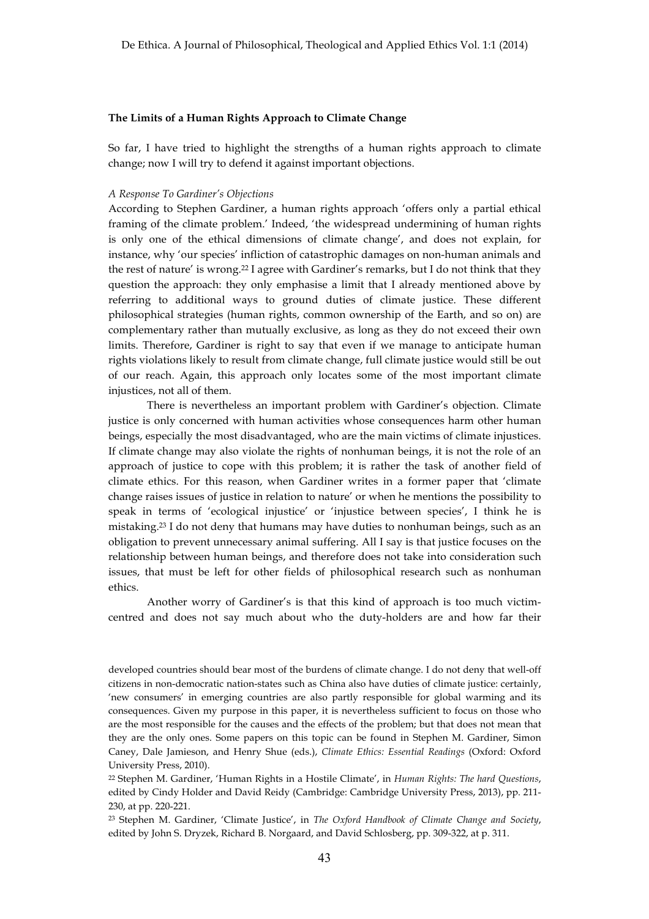#### **The Limits of a Human Rights Approach to Climate Change**

So far, I have tried to highlight the strengths of a human rights approach to climate change; now I will try to defend it against important objections.

### *A Response To Gardiner's Objections*

According to Stephen Gardiner, a human rights approach 'offers only a partial ethical framing of the climate problem.' Indeed, 'the widespread undermining of human rights is only one of the ethical dimensions of climate change', and does not explain, for instance, why 'our species' infliction of catastrophic damages on non-human animals and the rest of nature' is wrong.22 I agree with Gardiner's remarks, but I do not think that they question the approach: they only emphasise a limit that I already mentioned above by referring to additional ways to ground duties of climate justice. These different philosophical strategies (human rights, common ownership of the Earth, and so on) are complementary rather than mutually exclusive, as long as they do not exceed their own limits. Therefore, Gardiner is right to say that even if we manage to anticipate human rights violations likely to result from climate change, full climate justice would still be out of our reach. Again, this approach only locates some of the most important climate injustices, not all of them.

There is nevertheless an important problem with Gardiner's objection. Climate justice is only concerned with human activities whose consequences harm other human beings, especially the most disadvantaged, who are the main victims of climate injustices. If climate change may also violate the rights of nonhuman beings, it is not the role of an approach of justice to cope with this problem; it is rather the task of another field of climate ethics. For this reason, when Gardiner writes in a former paper that 'climate change raises issues of justice in relation to nature' or when he mentions the possibility to speak in terms of 'ecological injustice' or 'injustice between species', I think he is mistaking.23 I do not deny that humans may have duties to nonhuman beings, such as an obligation to prevent unnecessary animal suffering. All I say is that justice focuses on the relationship between human beings, and therefore does not take into consideration such issues, that must be left for other fields of philosophical research such as nonhuman ethics.

Another worry of Gardiner's is that this kind of approach is too much victimcentred and does not say much about who the duty-holders are and how far their

developed countries should bear most of the burdens of climate change. I do not deny that well-off citizens in non-democratic nation-states such as China also have duties of climate justice: certainly, 'new consumers' in emerging countries are also partly responsible for global warming and its consequences. Given my purpose in this paper, it is nevertheless sufficient to focus on those who are the most responsible for the causes and the effects of the problem; but that does not mean that they are the only ones. Some papers on this topic can be found in Stephen M. Gardiner, Simon Caney, Dale Jamieson, and Henry Shue (eds.), *Climate Ethics: Essential Readings* (Oxford: Oxford University Press, 2010).

<sup>22</sup> Stephen M. Gardiner, 'Human Rights in a Hostile Climate', in *Human Rights: The hard Questions*, edited by Cindy Holder and David Reidy (Cambridge: Cambridge University Press, 2013), pp. 211- 230, at pp. 220-221.

<sup>23</sup> Stephen M. Gardiner, 'Climate Justice', in *The Oxford Handbook of Climate Change and Society*, edited by John S. Dryzek, Richard B. Norgaard, and David Schlosberg, pp. 309-322, at p. 311.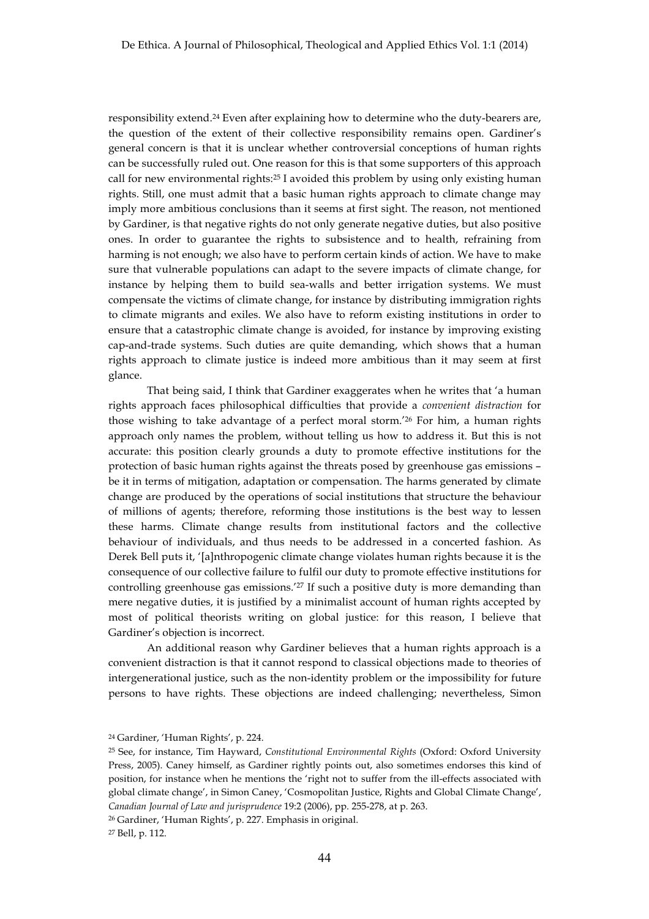responsibility extend.24 Even after explaining how to determine who the duty-bearers are, the question of the extent of their collective responsibility remains open. Gardiner's general concern is that it is unclear whether controversial conceptions of human rights can be successfully ruled out. One reason for this is that some supporters of this approach call for new environmental rights:25 I avoided this problem by using only existing human rights. Still, one must admit that a basic human rights approach to climate change may imply more ambitious conclusions than it seems at first sight. The reason, not mentioned by Gardiner, is that negative rights do not only generate negative duties, but also positive ones. In order to guarantee the rights to subsistence and to health, refraining from harming is not enough; we also have to perform certain kinds of action. We have to make sure that vulnerable populations can adapt to the severe impacts of climate change, for instance by helping them to build sea-walls and better irrigation systems. We must compensate the victims of climate change, for instance by distributing immigration rights to climate migrants and exiles. We also have to reform existing institutions in order to ensure that a catastrophic climate change is avoided, for instance by improving existing cap-and-trade systems. Such duties are quite demanding, which shows that a human rights approach to climate justice is indeed more ambitious than it may seem at first glance.

That being said, I think that Gardiner exaggerates when he writes that 'a human rights approach faces philosophical difficulties that provide a *convenient distraction* for those wishing to take advantage of a perfect moral storm.'26 For him, a human rights approach only names the problem, without telling us how to address it. But this is not accurate: this position clearly grounds a duty to promote effective institutions for the protection of basic human rights against the threats posed by greenhouse gas emissions – be it in terms of mitigation, adaptation or compensation. The harms generated by climate change are produced by the operations of social institutions that structure the behaviour of millions of agents; therefore, reforming those institutions is the best way to lessen these harms. Climate change results from institutional factors and the collective behaviour of individuals, and thus needs to be addressed in a concerted fashion. As Derek Bell puts it, '[a]nthropogenic climate change violates human rights because it is the consequence of our collective failure to fulfil our duty to promote effective institutions for controlling greenhouse gas emissions.<sup>'27</sup> If such a positive duty is more demanding than mere negative duties, it is justified by a minimalist account of human rights accepted by most of political theorists writing on global justice: for this reason, I believe that Gardiner's objection is incorrect.

An additional reason why Gardiner believes that a human rights approach is a convenient distraction is that it cannot respond to classical objections made to theories of intergenerational justice, such as the non-identity problem or the impossibility for future persons to have rights. These objections are indeed challenging; nevertheless, Simon

<sup>24</sup> Gardiner, 'Human Rights', p. 224.

<sup>25</sup> See, for instance, Tim Hayward, *Constitutional Environmental Rights* (Oxford: Oxford University Press, 2005). Caney himself, as Gardiner rightly points out, also sometimes endorses this kind of position, for instance when he mentions the 'right not to suffer from the ill-effects associated with global climate change', in Simon Caney, 'Cosmopolitan Justice, Rights and Global Climate Change', *Canadian Journal of Law and jurisprudence* 19:2 (2006), pp. 255-278, at p. 263.

<sup>26</sup> Gardiner, 'Human Rights', p. 227. Emphasis in original.

<sup>27</sup> Bell, p. 112.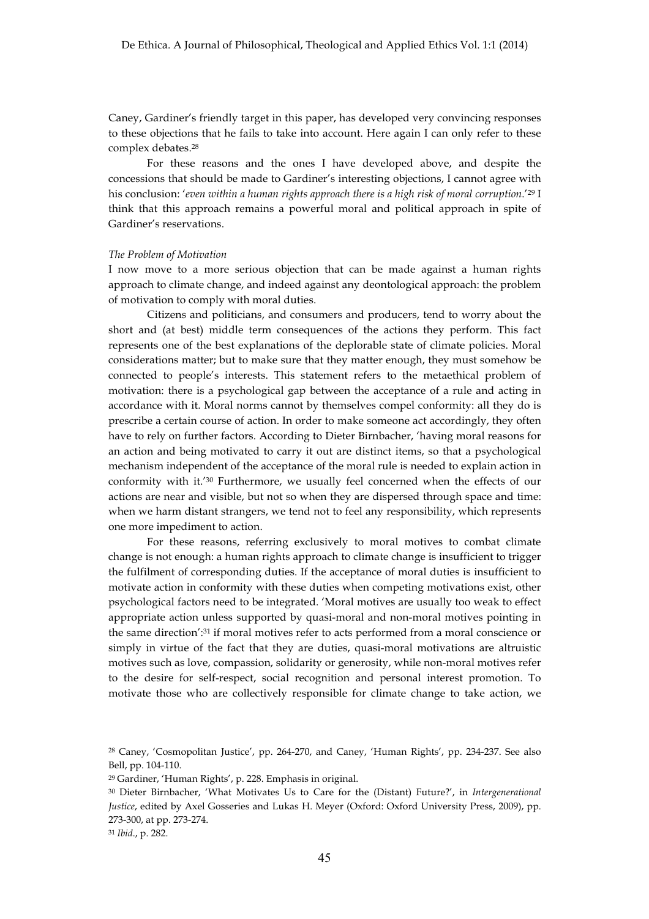Caney, Gardiner's friendly target in this paper, has developed very convincing responses to these objections that he fails to take into account. Here again I can only refer to these complex debates.28

For these reasons and the ones I have developed above, and despite the concessions that should be made to Gardiner's interesting objections, I cannot agree with his conclusion: '*even within a human rights approach there is a high risk of moral corruption*.'29 I think that this approach remains a powerful moral and political approach in spite of Gardiner's reservations.

#### *The Problem of Motivation*

I now move to a more serious objection that can be made against a human rights approach to climate change, and indeed against any deontological approach: the problem of motivation to comply with moral duties.

Citizens and politicians, and consumers and producers, tend to worry about the short and (at best) middle term consequences of the actions they perform. This fact represents one of the best explanations of the deplorable state of climate policies. Moral considerations matter; but to make sure that they matter enough, they must somehow be connected to people's interests. This statement refers to the metaethical problem of motivation: there is a psychological gap between the acceptance of a rule and acting in accordance with it. Moral norms cannot by themselves compel conformity: all they do is prescribe a certain course of action. In order to make someone act accordingly, they often have to rely on further factors. According to Dieter Birnbacher, 'having moral reasons for an action and being motivated to carry it out are distinct items, so that a psychological mechanism independent of the acceptance of the moral rule is needed to explain action in conformity with it.'30 Furthermore, we usually feel concerned when the effects of our actions are near and visible, but not so when they are dispersed through space and time: when we harm distant strangers, we tend not to feel any responsibility, which represents one more impediment to action.

For these reasons, referring exclusively to moral motives to combat climate change is not enough: a human rights approach to climate change is insufficient to trigger the fulfilment of corresponding duties. If the acceptance of moral duties is insufficient to motivate action in conformity with these duties when competing motivations exist, other psychological factors need to be integrated. 'Moral motives are usually too weak to effect appropriate action unless supported by quasi-moral and non-moral motives pointing in the same direction':31 if moral motives refer to acts performed from a moral conscience or simply in virtue of the fact that they are duties, quasi-moral motivations are altruistic motives such as love, compassion, solidarity or generosity, while non-moral motives refer to the desire for self-respect, social recognition and personal interest promotion. To motivate those who are collectively responsible for climate change to take action, we

<sup>31</sup> *Ibid*., p. 282.

<sup>28</sup> Caney, 'Cosmopolitan Justice', pp. 264-270, and Caney, 'Human Rights', pp. 234-237. See also Bell, pp. 104-110.

<sup>29</sup> Gardiner, 'Human Rights', p. 228. Emphasis in original.

<sup>30</sup> Dieter Birnbacher, 'What Motivates Us to Care for the (Distant) Future?', in *Intergenerational Justice*, edited by Axel Gosseries and Lukas H. Meyer (Oxford: Oxford University Press, 2009), pp. 273-300, at pp. 273-274.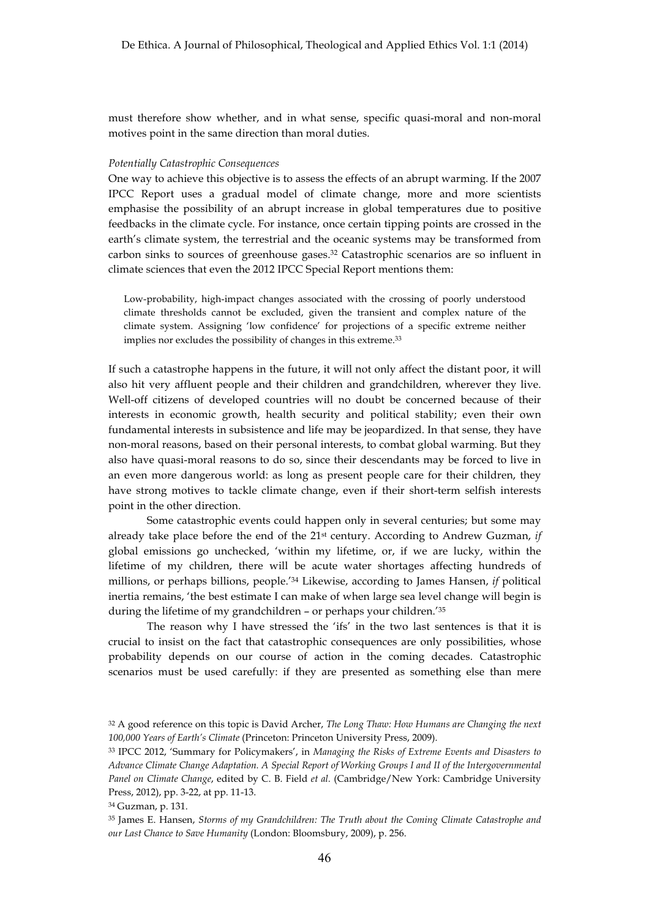must therefore show whether, and in what sense, specific quasi-moral and non-moral motives point in the same direction than moral duties.

#### *Potentially Catastrophic Consequences*

One way to achieve this objective is to assess the effects of an abrupt warming. If the 2007 IPCC Report uses a gradual model of climate change, more and more scientists emphasise the possibility of an abrupt increase in global temperatures due to positive feedbacks in the climate cycle. For instance, once certain tipping points are crossed in the earth's climate system, the terrestrial and the oceanic systems may be transformed from carbon sinks to sources of greenhouse gases.32 Catastrophic scenarios are so influent in climate sciences that even the 2012 IPCC Special Report mentions them:

Low-probability, high-impact changes associated with the crossing of poorly understood climate thresholds cannot be excluded, given the transient and complex nature of the climate system. Assigning 'low confidence' for projections of a specific extreme neither implies nor excludes the possibility of changes in this extreme.33

If such a catastrophe happens in the future, it will not only affect the distant poor, it will also hit very affluent people and their children and grandchildren, wherever they live. Well-off citizens of developed countries will no doubt be concerned because of their interests in economic growth, health security and political stability; even their own fundamental interests in subsistence and life may be jeopardized. In that sense, they have non-moral reasons, based on their personal interests, to combat global warming. But they also have quasi-moral reasons to do so, since their descendants may be forced to live in an even more dangerous world: as long as present people care for their children, they have strong motives to tackle climate change, even if their short-term selfish interests point in the other direction.

Some catastrophic events could happen only in several centuries; but some may already take place before the end of the 21st century. According to Andrew Guzman, *if* global emissions go unchecked, 'within my lifetime, or, if we are lucky, within the lifetime of my children, there will be acute water shortages affecting hundreds of millions, or perhaps billions, people.'34 Likewise, according to James Hansen, *if* political inertia remains, 'the best estimate I can make of when large sea level change will begin is during the lifetime of my grandchildren – or perhaps your children.'35

The reason why I have stressed the 'ifs' in the two last sentences is that it is crucial to insist on the fact that catastrophic consequences are only possibilities, whose probability depends on our course of action in the coming decades. Catastrophic scenarios must be used carefully: if they are presented as something else than mere

<sup>32</sup> A good reference on this topic is David Archer, *The Long Thaw: How Humans are Changing the next 100,000 Years of Earth's Climate* (Princeton: Princeton University Press, 2009).

<sup>33</sup> IPCC 2012, 'Summary for Policymakers', in *Managing the Risks of Extreme Events and Disasters to Advance Climate Change Adaptation. A Special Report of Working Groups I and II of the Intergovernmental Panel on Climate Change*, edited by C. B. Field *et al.* (Cambridge/New York: Cambridge University Press, 2012), pp. 3-22, at pp. 11-13.

<sup>34</sup> Guzman, p. 131.

<sup>35</sup> James E. Hansen, *Storms of my Grandchildren: The Truth about the Coming Climate Catastrophe and our Last Chance to Save Humanity* (London: Bloomsbury, 2009), p. 256.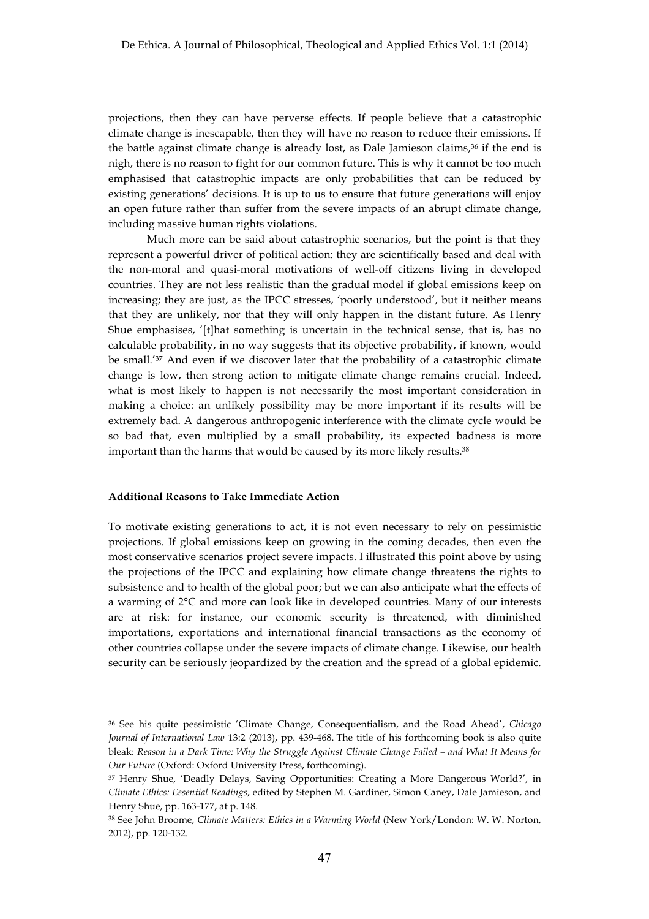projections, then they can have perverse effects. If people believe that a catastrophic climate change is inescapable, then they will have no reason to reduce their emissions. If the battle against climate change is already lost, as Dale Jamieson claims,36 if the end is nigh, there is no reason to fight for our common future. This is why it cannot be too much emphasised that catastrophic impacts are only probabilities that can be reduced by existing generations' decisions. It is up to us to ensure that future generations will enjoy an open future rather than suffer from the severe impacts of an abrupt climate change, including massive human rights violations.

Much more can be said about catastrophic scenarios, but the point is that they represent a powerful driver of political action: they are scientifically based and deal with the non-moral and quasi-moral motivations of well-off citizens living in developed countries. They are not less realistic than the gradual model if global emissions keep on increasing; they are just, as the IPCC stresses, 'poorly understood', but it neither means that they are unlikely, nor that they will only happen in the distant future. As Henry Shue emphasises, '[t]hat something is uncertain in the technical sense, that is, has no calculable probability, in no way suggests that its objective probability, if known, would be small.'37 And even if we discover later that the probability of a catastrophic climate change is low, then strong action to mitigate climate change remains crucial. Indeed, what is most likely to happen is not necessarily the most important consideration in making a choice: an unlikely possibility may be more important if its results will be extremely bad. A dangerous anthropogenic interference with the climate cycle would be so bad that, even multiplied by a small probability, its expected badness is more important than the harms that would be caused by its more likely results.<sup>38</sup>

## **Additional Reasons to Take Immediate Action**

To motivate existing generations to act, it is not even necessary to rely on pessimistic projections. If global emissions keep on growing in the coming decades, then even the most conservative scenarios project severe impacts. I illustrated this point above by using the projections of the IPCC and explaining how climate change threatens the rights to subsistence and to health of the global poor; but we can also anticipate what the effects of a warming of 2°C and more can look like in developed countries. Many of our interests are at risk: for instance, our economic security is threatened, with diminished importations, exportations and international financial transactions as the economy of other countries collapse under the severe impacts of climate change. Likewise, our health security can be seriously jeopardized by the creation and the spread of a global epidemic.

<sup>36</sup> See his quite pessimistic 'Climate Change, Consequentialism, and the Road Ahead', *Chicago Journal of International Law* 13:2 (2013), pp. 439-468. The title of his forthcoming book is also quite bleak: *Reason in a Dark Time: Why the Struggle Against Climate Change Failed – and What It Means for Our Future* (Oxford: Oxford University Press, forthcoming).

<sup>37</sup> Henry Shue, 'Deadly Delays, Saving Opportunities: Creating a More Dangerous World?', in *Climate Ethics: Essential Readings*, edited by Stephen M. Gardiner, Simon Caney, Dale Jamieson, and Henry Shue, pp. 163-177, at p. 148.

<sup>38</sup> See John Broome, *Climate Matters: Ethics in a Warming World* (New York/London: W. W. Norton, 2012), pp. 120-132.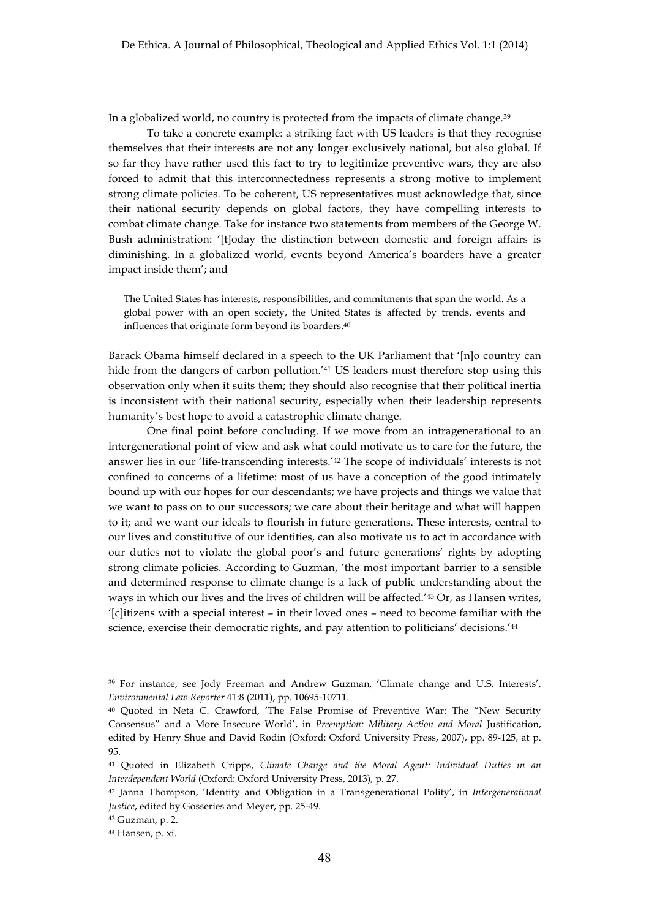In a globalized world, no country is protected from the impacts of climate change.39

To take a concrete example: a striking fact with US leaders is that they recognise themselves that their interests are not any longer exclusively national, but also global. If so far they have rather used this fact to try to legitimize preventive wars, they are also forced to admit that this interconnectedness represents a strong motive to implement strong climate policies. To be coherent, US representatives must acknowledge that, since their national security depends on global factors, they have compelling interests to combat climate change. Take for instance two statements from members of the George W. Bush administration: '[t]oday the distinction between domestic and foreign affairs is diminishing. In a globalized world, events beyond America's boarders have a greater impact inside them'; and

The United States has interests, responsibilities, and commitments that span the world. As a global power with an open society, the United States is affected by trends, events and influences that originate form beyond its boarders.40

Barack Obama himself declared in a speech to the UK Parliament that '[n]o country can hide from the dangers of carbon pollution.<sup>'41</sup> US leaders must therefore stop using this observation only when it suits them; they should also recognise that their political inertia is inconsistent with their national security, especially when their leadership represents humanity's best hope to avoid a catastrophic climate change.

One final point before concluding. If we move from an intragenerational to an intergenerational point of view and ask what could motivate us to care for the future, the answer lies in our 'life-transcending interests.'42 The scope of individuals' interests is not confined to concerns of a lifetime: most of us have a conception of the good intimately bound up with our hopes for our descendants; we have projects and things we value that we want to pass on to our successors; we care about their heritage and what will happen to it; and we want our ideals to flourish in future generations. These interests, central to our lives and constitutive of our identities, can also motivate us to act in accordance with our duties not to violate the global poor's and future generations' rights by adopting strong climate policies. According to Guzman, 'the most important barrier to a sensible and determined response to climate change is a lack of public understanding about the ways in which our lives and the lives of children will be affected.'43 Or, as Hansen writes, '[c]itizens with a special interest – in their loved ones – need to become familiar with the science, exercise their democratic rights, and pay attention to politicians' decisions.'44

<sup>39</sup> For instance, see Jody Freeman and Andrew Guzman, 'Climate change and U.S. Interests', *Environmental Law Reporter* 41:8 (2011), pp. 10695-10711.

<sup>40</sup> Quoted in Neta C. Crawford, 'The False Promise of Preventive War: The "New Security Consensus" and a More Insecure World', in *Preemption: Military Action and Moral* Justification, edited by Henry Shue and David Rodin (Oxford: Oxford University Press, 2007), pp. 89-125, at p. 95.

<sup>41</sup> Quoted in Elizabeth Cripps, *Climate Change and the Moral Agent: Individual Duties in an Interdependent World* (Oxford: Oxford University Press, 2013), p. 27.

<sup>42</sup> Janna Thompson, 'Identity and Obligation in a Transgenerational Polity', in *Intergenerational Justice*, edited by Gosseries and Meyer, pp. 25-49.

<sup>43</sup> Guzman, p. 2.

<sup>44</sup> Hansen, p. xi.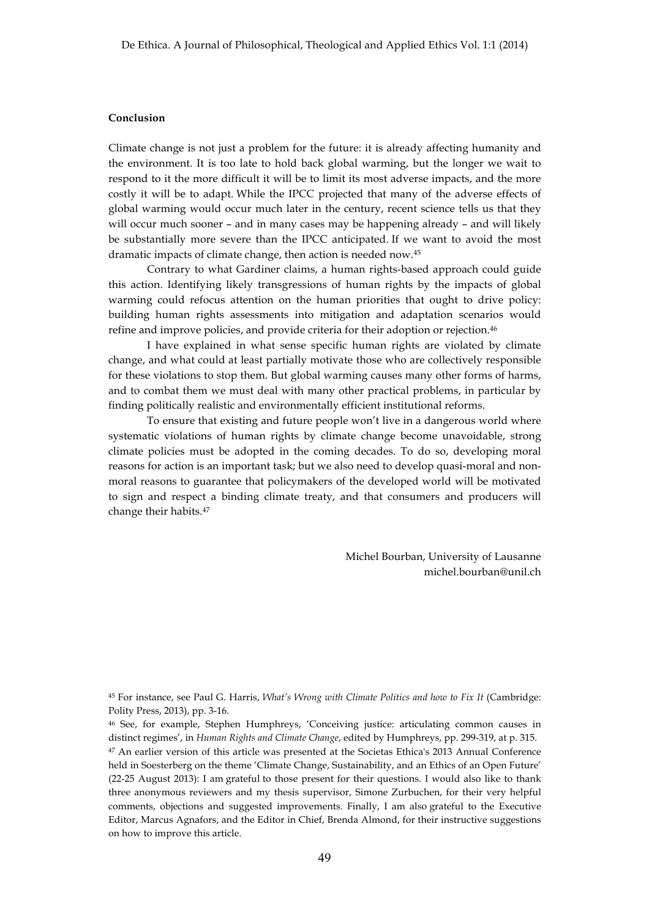### **Conclusion**

Climate change is not just a problem for the future: it is already affecting humanity and the environment. It is too late to hold back global warming, but the longer we wait to respond to it the more difficult it will be to limit its most adverse impacts, and the more costly it will be to adapt. While the IPCC projected that many of the adverse effects of global warming would occur much later in the century, recent science tells us that they will occur much sooner – and in many cases may be happening already – and will likely be substantially more severe than the IPCC anticipated. If we want to avoid the most dramatic impacts of climate change, then action is needed now.45

Contrary to what Gardiner claims, a human rights-based approach could guide this action. Identifying likely transgressions of human rights by the impacts of global warming could refocus attention on the human priorities that ought to drive policy: building human rights assessments into mitigation and adaptation scenarios would refine and improve policies, and provide criteria for their adoption or rejection.46

I have explained in what sense specific human rights are violated by climate change, and what could at least partially motivate those who are collectively responsible for these violations to stop them. But global warming causes many other forms of harms, and to combat them we must deal with many other practical problems, in particular by finding politically realistic and environmentally efficient institutional reforms.

To ensure that existing and future people won't live in a dangerous world where systematic violations of human rights by climate change become unavoidable, strong climate policies must be adopted in the coming decades. To do so, developing moral reasons for action is an important task; but we also need to develop quasi-moral and nonmoral reasons to guarantee that policymakers of the developed world will be motivated to sign and respect a binding climate treaty, and that consumers and producers will change their habits.47

> Michel Bourban, University of Lausanne michel.bourban@unil.ch

<sup>45</sup> For instance, see Paul G. Harris, *What's Wrong with Climate Politics and how to Fix It* (Cambridge: Polity Press, 2013), pp. 3-16.

<sup>46</sup> See, for example, Stephen Humphreys, 'Conceiving justice: articulating common causes in distinct regimes', in *Human Rights and Climate Change*, edited by Humphreys, pp. 299-319, at p. 315. <sup>47</sup> An earlier version of this article was presented at the Societas Ethica's 2013 Annual Conference held in Soesterberg on the theme 'Climate Change, Sustainability, and an Ethics of an Open Future' (22-25 August 2013): I am grateful to those present for their questions. I would also like to thank three anonymous reviewers and my thesis supervisor, Simone Zurbuchen, for their very helpful comments, objections and suggested improvements. Finally, I am also grateful to the Executive Editor, Marcus Agnafors, and the Editor in Chief, Brenda Almond, for their instructive suggestions on how to improve this article.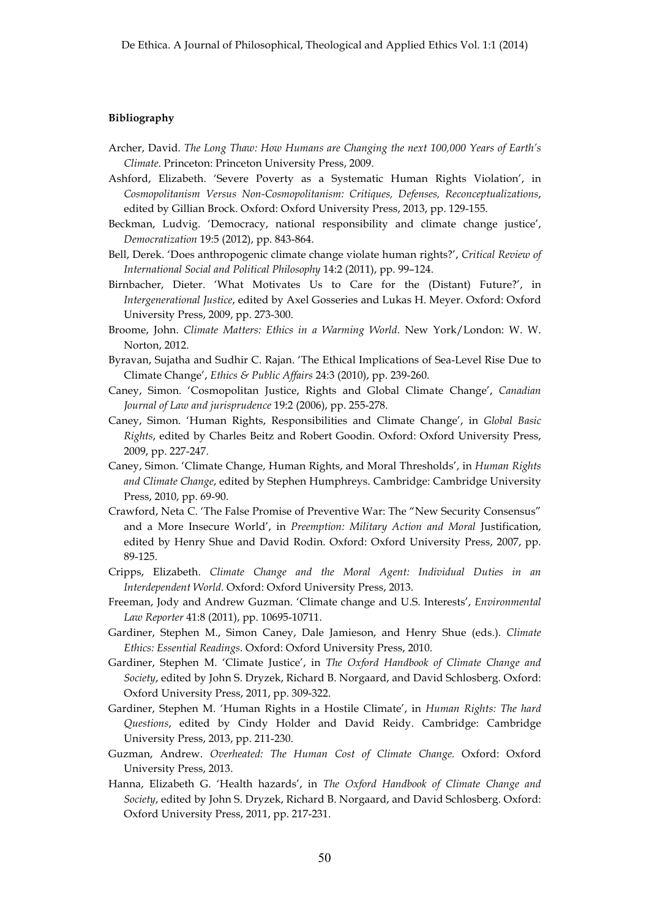### **Bibliography**

- Archer, David. *The Long Thaw: How Humans are Changing the next 100,000 Years of Earth's Climate*. Princeton: Princeton University Press, 2009.
- Ashford, Elizabeth. 'Severe Poverty as a Systematic Human Rights Violation', in *Cosmopolitanism Versus Non-Cosmopolitanism: Critiques, Defenses, Reconceptualizations*, edited by Gillian Brock. Oxford: Oxford University Press, 2013, pp. 129-155.
- Beckman, Ludvig. 'Democracy, national responsibility and climate change justice', *Democratization* 19:5 (2012), pp. 843-864.
- Bell, Derek. 'Does anthropogenic climate change violate human rights?', *Critical Review of International Social and Political Philosophy* 14:2 (2011), pp. 99–124.
- Birnbacher, Dieter. 'What Motivates Us to Care for the (Distant) Future?', in *Intergenerational Justice*, edited by Axel Gosseries and Lukas H. Meyer. Oxford: Oxford University Press, 2009, pp. 273-300.
- Broome, John. *Climate Matters: Ethics in a Warming World*. New York/London: W. W. Norton, 2012.
- Byravan, Sujatha and Sudhir C. Rajan. 'The Ethical Implications of Sea-Level Rise Due to Climate Change', *Ethics & Public Affairs* 24:3 (2010), pp. 239-260.
- Caney, Simon. 'Cosmopolitan Justice, Rights and Global Climate Change', *Canadian Journal of Law and jurisprudence* 19:2 (2006), pp. 255-278.
- Caney, Simon. 'Human Rights, Responsibilities and Climate Change', in *Global Basic Rights*, edited by Charles Beitz and Robert Goodin. Oxford: Oxford University Press, 2009, pp. 227-247.
- Caney, Simon. 'Climate Change, Human Rights, and Moral Thresholds', in *Human Rights and Climate Change*, edited by Stephen Humphreys. Cambridge: Cambridge University Press, 2010, pp. 69-90.
- Crawford, Neta C. 'The False Promise of Preventive War: The "New Security Consensus" and a More Insecure World', in *Preemption: Military Action and Moral* Justification, edited by Henry Shue and David Rodin. Oxford: Oxford University Press, 2007, pp. 89-125.
- Cripps, Elizabeth. *Climate Change and the Moral Agent: Individual Duties in an Interdependent World*. Oxford: Oxford University Press, 2013.
- Freeman, Jody and Andrew Guzman. 'Climate change and U.S. Interests', *Environmental Law Reporter* 41:8 (2011), pp. 10695-10711.
- Gardiner, Stephen M., Simon Caney, Dale Jamieson, and Henry Shue (eds.). *Climate Ethics: Essential Readings*. Oxford: Oxford University Press, 2010.
- Gardiner, Stephen M. 'Climate Justice', in *The Oxford Handbook of Climate Change and Society*, edited by John S. Dryzek, Richard B. Norgaard, and David Schlosberg. Oxford: Oxford University Press, 2011, pp. 309-322.
- Gardiner, Stephen M. 'Human Rights in a Hostile Climate', in *Human Rights: The hard Questions*, edited by Cindy Holder and David Reidy. Cambridge: Cambridge University Press, 2013, pp. 211-230.
- Guzman, Andrew. *Overheated: The Human Cost of Climate Change.* Oxford: Oxford University Press, 2013.
- Hanna, Elizabeth G. 'Health hazards', in *The Oxford Handbook of Climate Change and Society*, edited by John S. Dryzek, Richard B. Norgaard, and David Schlosberg. Oxford: Oxford University Press, 2011, pp. 217-231.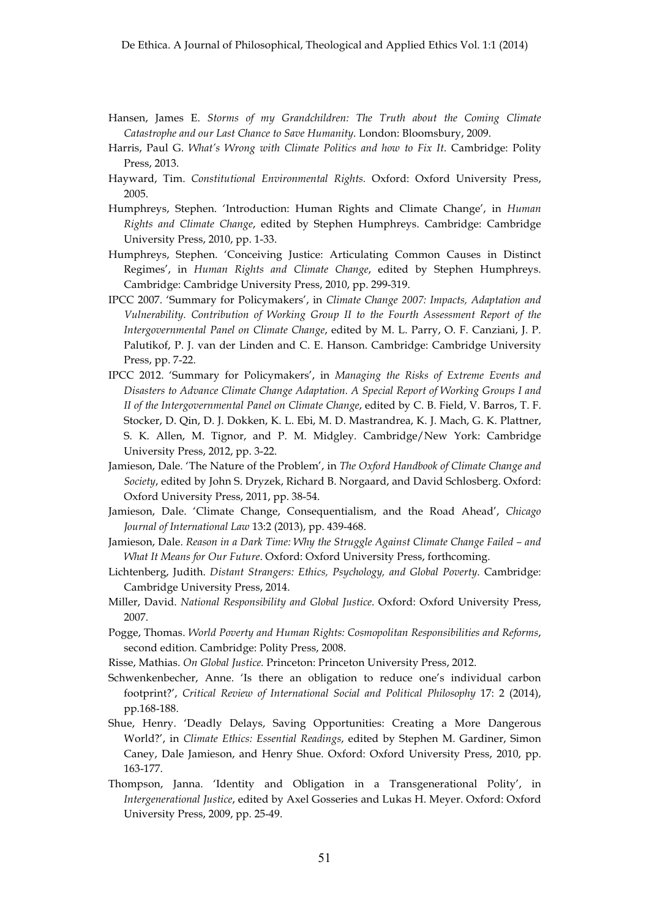- Hansen, James E. *Storms of my Grandchildren: The Truth about the Coming Climate Catastrophe and our Last Chance to Save Humanity*. London: Bloomsbury, 2009.
- Harris, Paul G. *What's Wrong with Climate Politics and how to Fix It*. Cambridge: Polity Press, 2013.
- Hayward, Tim. *Constitutional Environmental Rights.* Oxford: Oxford University Press, 2005.
- Humphreys, Stephen. 'Introduction: Human Rights and Climate Change', in *Human Rights and Climate Change*, edited by Stephen Humphreys. Cambridge: Cambridge University Press, 2010, pp. 1-33.
- Humphreys, Stephen. 'Conceiving Justice: Articulating Common Causes in Distinct Regimes', in *Human Rights and Climate Change*, edited by Stephen Humphreys. Cambridge: Cambridge University Press, 2010, pp. 299-319.
- IPCC 2007. 'Summary for Policymakers', in *Climate Change 2007: Impacts, Adaptation and Vulnerability. Contribution of Working Group II to the Fourth Assessment Report of the Intergovernmental Panel on Climate Change*, edited by M. L. Parry, O. F. Canziani, J. P. Palutikof, P. J. van der Linden and C. E. Hanson. Cambridge: Cambridge University Press, pp. 7-22.
- IPCC 2012. 'Summary for Policymakers', in *Managing the Risks of Extreme Events and Disasters to Advance Climate Change Adaptation. A Special Report of Working Groups I and II of the Intergovernmental Panel on Climate Change*, edited by C. B. Field, V. Barros, T. F. Stocker, D. Qin, D. J. Dokken, K. L. Ebi, M. D. Mastrandrea, K. J. Mach, G. K. Plattner, S. K. Allen, M. Tignor, and P. M. Midgley. Cambridge/New York: Cambridge University Press, 2012, pp. 3-22.
- Jamieson, Dale. 'The Nature of the Problem', in *The Oxford Handbook of Climate Change and Society*, edited by John S. Dryzek, Richard B. Norgaard, and David Schlosberg. Oxford: Oxford University Press, 2011, pp. 38-54.
- Jamieson, Dale. 'Climate Change, Consequentialism, and the Road Ahead', *Chicago Journal of International Law* 13:2 (2013), pp. 439-468.
- Jamieson, Dale. *Reason in a Dark Time: Why the Struggle Against Climate Change Failed – and What It Means for Our Future*. Oxford: Oxford University Press, forthcoming.
- Lichtenberg, Judith. *Distant Strangers: Ethics, Psychology, and Global Poverty*. Cambridge: Cambridge University Press, 2014.
- Miller, David. *National Responsibility and Global Justice*. Oxford: Oxford University Press, 2007.
- Pogge, Thomas. *World Poverty and Human Rights: Cosmopolitan Responsibilities and Reforms*, second edition. Cambridge: Polity Press, 2008.
- Risse, Mathias. *On Global Justice.* Princeton: Princeton University Press, 2012.
- Schwenkenbecher, Anne. 'Is there an obligation to reduce one's individual carbon footprint?', *Critical Review of International Social and Political Philosophy* 17: 2 (2014), pp.168-188.
- Shue, Henry. 'Deadly Delays, Saving Opportunities: Creating a More Dangerous World?', in *Climate Ethics: Essential Readings*, edited by Stephen M. Gardiner, Simon Caney, Dale Jamieson, and Henry Shue. Oxford: Oxford University Press, 2010, pp. 163-177.
- Thompson, Janna. 'Identity and Obligation in a Transgenerational Polity', in *Intergenerational Justice*, edited by Axel Gosseries and Lukas H. Meyer. Oxford: Oxford University Press, 2009, pp. 25-49.